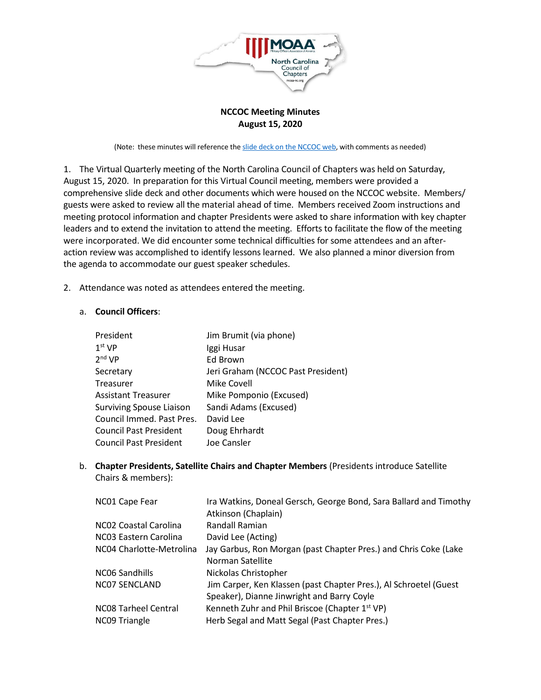

## **NCCOC Meeting Minutes August 15, 2020**

(Note: these minutes will reference the slide deck on the [NCCOC](https://www.moaa-nc.org/_HbG/_documents/1597582601/uploads/200815%20-%20Virtual%20Meeting%20Slide%20Deck%20(Absolutely%20Final).pdf) web, with comments as needed)

<span id="page-0-0"></span>1. The Virtual Quarterly meeting of the North Carolina Council of Chapters was held on Saturday, August 15, 2020. In preparation for this Virtual Council meeting, members were provided a comprehensive slide deck and other documents which were housed on the NCCOC website. Members/ guests were asked to review all the material ahead of time. Members received Zoom instructions and meeting protocol information and chapter Presidents were asked to share information with key chapter leaders and to extend the invitation to attend the meeting. Efforts to facilitate the flow of the meeting were incorporated. We did encounter some technical difficulties for some attendees and an afteraction review was accomplished to identify lessons learned. We also planned a minor diversion from the agenda to accommodate our guest speaker schedules.

2. Attendance was noted as attendees entered the meeting.

## a. **Council Officers**:

| President                       | Jim Brumit (via phone)             |
|---------------------------------|------------------------------------|
| 1 <sup>st</sup> VP              | Iggi Husar                         |
| 2 <sup>nd</sup> VP              | Ed Brown                           |
| Secretary                       | Jeri Graham (NCCOC Past President) |
| Treasurer                       | Mike Covell                        |
| <b>Assistant Treasurer</b>      | Mike Pomponio (Excused)            |
| <b>Surviving Spouse Liaison</b> | Sandi Adams (Excused)              |
| Council Immed. Past Pres.       | David Lee                          |
| <b>Council Past President</b>   | Doug Ehrhardt                      |
| <b>Council Past President</b>   | Joe Cansler                        |

b. **Chapter Presidents, Satellite Chairs and Chapter Members** (Presidents introduce Satellite Chairs & members):

| NC01 Cape Fear                        | Ira Watkins, Doneal Gersch, George Bond, Sara Ballard and Timothy<br>Atkinson (Chaplain)                        |
|---------------------------------------|-----------------------------------------------------------------------------------------------------------------|
| NC02 Coastal Carolina                 | Randall Ramian                                                                                                  |
| NC03 Eastern Carolina                 | David Lee (Acting)                                                                                              |
| NC04 Charlotte-Metrolina              | Jay Garbus, Ron Morgan (past Chapter Pres.) and Chris Coke (Lake<br>Norman Satellite                            |
| NCO6 Sandhills                        | Nickolas Christopher                                                                                            |
| NC07 SENCLAND                         | Jim Carper, Ken Klassen (past Chapter Pres.), Al Schroetel (Guest<br>Speaker), Dianne Jinwright and Barry Coyle |
| NC08 Tarheel Central<br>NC09 Triangle | Kenneth Zuhr and Phil Briscoe (Chapter 1st VP)<br>Herb Segal and Matt Segal (Past Chapter Pres.)                |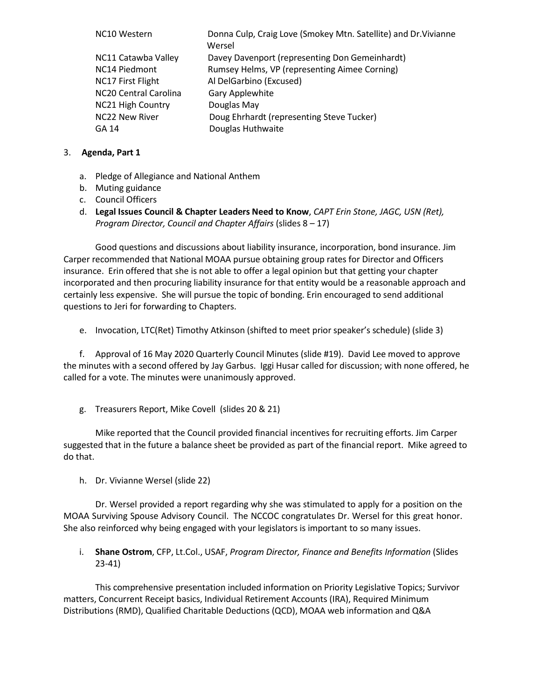| NC10 Western                      | Donna Culp, Craig Love (Smokey Mtn. Satellite) and Dr. Vivianne<br>Wersel |
|-----------------------------------|---------------------------------------------------------------------------|
| NC11 Catawba Valley               | Davey Davenport (representing Don Gemeinhardt)                            |
| NC14 Piedmont                     | Rumsey Helms, VP (representing Aimee Corning)                             |
| NC17 First Flight                 | Al DelGarbino (Excused)                                                   |
| NC <sub>20</sub> Central Carolina | Gary Applewhite                                                           |
| <b>NC21 High Country</b>          | Douglas May                                                               |
| <b>NC22 New River</b>             | Doug Ehrhardt (representing Steve Tucker)                                 |
| GA 14                             | Douglas Huthwaite                                                         |

## 3. **Agenda, Part 1**

- a. Pledge of Allegiance and National Anthem
- b. Muting guidance
- c. Council Officers
- d. **Legal Issues Council & Chapter Leaders Need to Know**, *CAPT Erin Stone, JAGC, USN (Ret), Program Director, Council and Chapter Affairs* [\(s](#page-0-0)[lides 8 – 17\)](https://drive.google.com/file/d/1NpDQGIzzN3xd7rNbuqS9J-rcDvLhlN0T/view)

Good questions and discussions about liability insurance, incorporation, bond insurance. Jim Carper recommended that National MOAA pursue obtaining group rates for Director and Officers insurance. Erin offered that she is not able to offer a legal opinion but that getting your chapter incorporated and then procuring liability insurance for that entity would be a reasonable approach and certainly less expensive. She will pursue the topic of bonding. Erin encouraged to send additional questions to Jeri for forwarding to Chapters.

e. Invocation, LTC(Ret) Timothy Atkinson (shifted to meet prior speaker's schedule) (slide 3)

f. Approval of 16 May 2020 Quarterly Council Minutes ([slide](https://drive.google.com/file/d/10MNDrzkFlh8bfnwKPpUfDdYuK51zgmK4/view) #19). David Lee moved to approve the minutes with a second offered by Jay Garbus. Iggi Husar called for discussion; with none offered, he called for a vote. The minutes were unanimously approved.

g. Treasurers Report, Mike Covell (slides [20 & 21\)](https://drive.google.com/file/d/1x1C__7xcPkyLpfaLpLcwr1pcZTOCVDf9/view)

Mike reported that the Council provided financial incentives for recruiting efforts. Jim Carper suggested that in the future a balance sheet be provided as part of the financial report. Mike agreed to do that.

h. Dr. Vivianne Wersel [\(slide](https://drive.google.com/file/d/1bgDfy9ZV1a_fGwpkww7LS5BCjN5i36mN/view) 22)

Dr. Wersel provided a report regarding why she was stimulated to apply for a position on the MOAA Surviving Spouse Advisory Council. The NCCOC congratulates Dr. Wersel for this great honor. She also reinforced why being engaged with your legislators is important to so many issues.

i. **[Shane Ostrom](#page-3-0)**, CFP, Lt.Col., USAF, *Program Director, Finance and Benefits Information* (Slides [23-41\)](#page-3-0)

This comprehensive presentation included information on Priority Legislative Topics; Survivor matters, Concurrent Receipt basics, Individual Retirement Accounts (IRA), Required Minimum Distributions (RMD), Qualified Charitable Deductions (QCD), MOAA web information and Q&A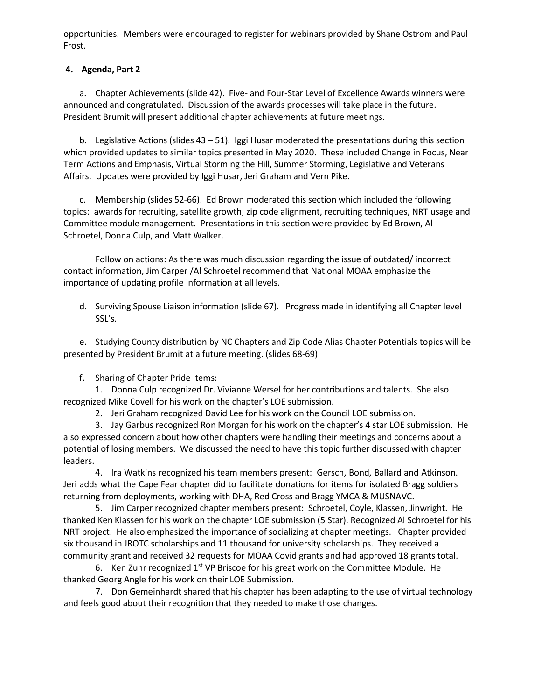opportunities. Members were encouraged to register for webinars provided by Shane Ostrom and Paul Frost.

## **4. Agenda, Part 2**

a. Chapter Achievements [\(slide](https://drive.google.com/file/d/1uk8s-anEE7TqMeB5R_JYQECIgGE2EAJ5/view) 42). Five- and Four-Star Level of Excellence Awards winners were announced and congratulated. Discussion of the awards processes will take place in the future. President Brumit will present additional chapter achievements at future meetings.

b. Legislative Actions (slides  $43 - 51$ ). Iggi Husar moderated the presentations during this section which provided updates to similar topics presented in May 2020. These included Change in Focus, Near Term Actions and Emphasis, Virtual Storming the Hill, Summer Storming, Legislative and Veterans Affairs. Updates were provided by Iggi Husar, Jeri Graham and Vern Pike.

c. Membership (slides [52-66\)](https://drive.google.com/file/d/1D7duXK8tAbJlE3whvPfqPi3WwmSEz0gK/view). Ed Brown moderated this section which included the following topics: awards for recruiting, satellite growth, zip code alignment, recruiting techniques, NRT usage and Committee module management. Presentations in this section were provided by Ed Brown, Al Schroetel, Donna Culp, and Matt Walker.

Follow on actions: As there was much discussion regarding the issue of outdated/ incorrect contact information, Jim Carper /Al Schroetel recommend that National MOAA emphasize the importance of updating profile information at all levels.

d. Surviving Spouse Liaison information [\(slide](https://drive.google.com/file/d/19VA8ecsebjAvoAuXeK0gTsyAeourD0fo/view) 67). Progress made in identifying all Chapter level SSL's.

e. Studying County distribution by NC Chapters and Zip Code Alias Chapter Potentials topics will be presented by President Brumit at a future meeting. (slides 68-69)

f. [Sharing of Chapter](https://drive.google.com/file/d/1yQZuD-uupjxSaD9PYIuEpNnG25NrI3vW/view) Pride Items:

1. Donna Culp recognized Dr. Vivianne Wersel for her contributions and talents. She also recognized Mike Covell for his work on the chapter's LOE submission.

2. Jeri Graham recognized David Lee for his work on the Council LOE submission.

3. Jay Garbus recognized Ron Morgan for his work on the chapter's 4 star LOE submission. He also expressed concern about how other chapters were handling their meetings and concerns about a potential of losing members. We discussed the need to have this topic further discussed with chapter leaders.

4. Ira Watkins recognized his team members present: Gersch, Bond, Ballard and Atkinson. Jeri adds what the Cape Fear chapter did to facilitate donations for items for isolated Bragg soldiers returning from deployments, working with DHA, Red Cross and Bragg YMCA & MUSNAVC.

5. Jim Carper recognized chapter members present: Schroetel, Coyle, Klassen, Jinwright. He thanked Ken Klassen for his work on the chapter LOE submission (5 Star). Recognized Al Schroetel for his NRT project. He also emphasized the importance of socializing at chapter meetings. Chapter provided six thousand in JROTC scholarships and 11 thousand for university scholarships. They received a community grant and received 32 requests for MOAA Covid grants and had approved 18 grants total.

6. Ken Zuhr recognized  $1^{st}$  VP Briscoe for his great work on the Committee Module. He thanked Georg Angle for his work on their LOE Submission.

7. Don Gemeinhardt shared that his chapter has been adapting to the use of virtual technology and feels good about their recognition that they needed to make those changes.